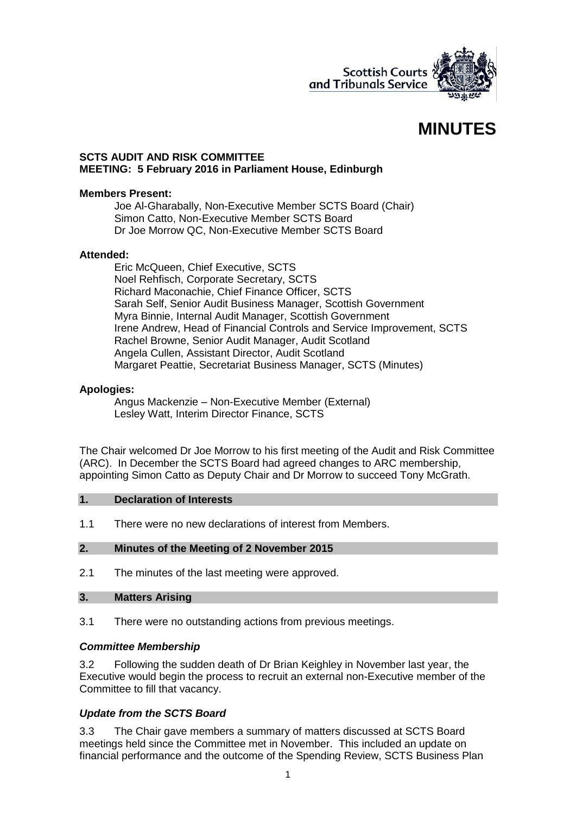

# **MINUTES**

#### **SCTS AUDIT AND RISK COMMITTEE MEETING: 5 February 2016 in Parliament House, Edinburgh**

#### **Members Present:**

Joe Al-Gharabally, Non-Executive Member SCTS Board (Chair) Simon Catto, Non-Executive Member SCTS Board Dr Joe Morrow QC, Non-Executive Member SCTS Board

#### **Attended:**

Eric McQueen, Chief Executive, SCTS Noel Rehfisch, Corporate Secretary, SCTS Richard Maconachie, Chief Finance Officer, SCTS Sarah Self, Senior Audit Business Manager, Scottish Government Myra Binnie, Internal Audit Manager, Scottish Government Irene Andrew, Head of Financial Controls and Service Improvement, SCTS Rachel Browne, Senior Audit Manager, Audit Scotland Angela Cullen, Assistant Director, Audit Scotland Margaret Peattie, Secretariat Business Manager, SCTS (Minutes)

### **Apologies:**

Angus Mackenzie – Non-Executive Member (External) Lesley Watt, Interim Director Finance, SCTS

The Chair welcomed Dr Joe Morrow to his first meeting of the Audit and Risk Committee (ARC). In December the SCTS Board had agreed changes to ARC membership, appointing Simon Catto as Deputy Chair and Dr Morrow to succeed Tony McGrath.

#### **1. Declaration of Interests**

1.1 There were no new declarations of interest from Members.

#### **2. Minutes of the Meeting of 2 November 2015**

2.1 The minutes of the last meeting were approved.

#### **3. Matters Arising**

3.1 There were no outstanding actions from previous meetings.

### *Committee Membership*

3.2 Following the sudden death of Dr Brian Keighley in November last year, the Executive would begin the process to recruit an external non-Executive member of the Committee to fill that vacancy.

### *Update from the SCTS Board*

3.3 The Chair gave members a summary of matters discussed at SCTS Board meetings held since the Committee met in November. This included an update on financial performance and the outcome of the Spending Review, SCTS Business Plan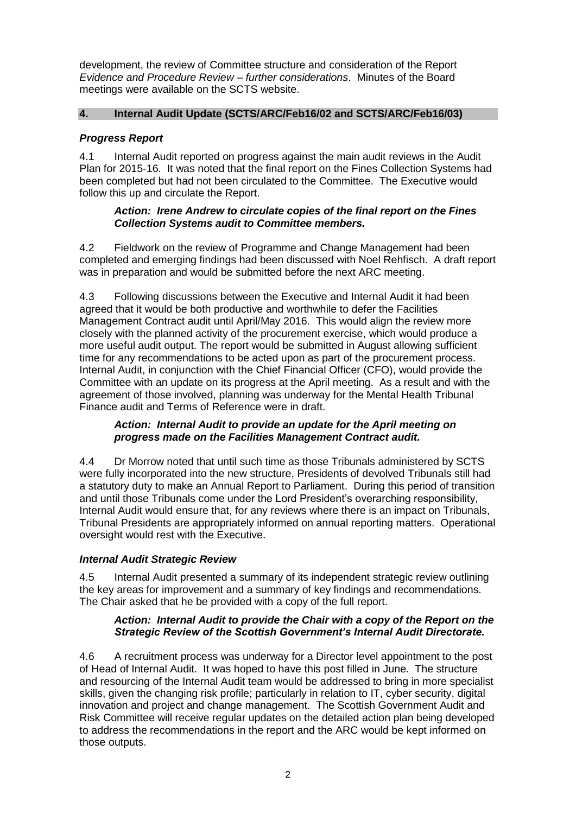development, the review of Committee structure and consideration of the Report *Evidence and Procedure Review – further considerations*. Minutes of the Board meetings were available on the SCTS website.

## **4. Internal Audit Update (SCTS/ARC/Feb16/02 and SCTS/ARC/Feb16/03)**

## *Progress Report*

4.1 Internal Audit reported on progress against the main audit reviews in the Audit Plan for 2015-16. It was noted that the final report on the Fines Collection Systems had been completed but had not been circulated to the Committee. The Executive would follow this up and circulate the Report.

### *Action: Irene Andrew to circulate copies of the final report on the Fines Collection Systems audit to Committee members.*

4.2 Fieldwork on the review of Programme and Change Management had been completed and emerging findings had been discussed with Noel Rehfisch. A draft report was in preparation and would be submitted before the next ARC meeting.

4.3 Following discussions between the Executive and Internal Audit it had been agreed that it would be both productive and worthwhile to defer the Facilities Management Contract audit until April/May 2016. This would align the review more closely with the planned activity of the procurement exercise, which would produce a more useful audit output. The report would be submitted in August allowing sufficient time for any recommendations to be acted upon as part of the procurement process. Internal Audit, in conjunction with the Chief Financial Officer (CFO), would provide the Committee with an update on its progress at the April meeting. As a result and with the agreement of those involved, planning was underway for the Mental Health Tribunal Finance audit and Terms of Reference were in draft.

### *Action: Internal Audit to provide an update for the April meeting on progress made on the Facilities Management Contract audit.*

4.4 Dr Morrow noted that until such time as those Tribunals administered by SCTS were fully incorporated into the new structure, Presidents of devolved Tribunals still had a statutory duty to make an Annual Report to Parliament. During this period of transition and until those Tribunals come under the Lord President's overarching responsibility, Internal Audit would ensure that, for any reviews where there is an impact on Tribunals, Tribunal Presidents are appropriately informed on annual reporting matters. Operational oversight would rest with the Executive.

### *Internal Audit Strategic Review*

4.5 Internal Audit presented a summary of its independent strategic review outlining the key areas for improvement and a summary of key findings and recommendations. The Chair asked that he be provided with a copy of the full report.

## *Action: Internal Audit to provide the Chair with a copy of the Report on the Strategic Review of the Scottish Government's Internal Audit Directorate.*

4.6 A recruitment process was underway for a Director level appointment to the post of Head of Internal Audit. It was hoped to have this post filled in June. The structure and resourcing of the Internal Audit team would be addressed to bring in more specialist skills, given the changing risk profile; particularly in relation to IT, cyber security, digital innovation and project and change management. The Scottish Government Audit and Risk Committee will receive regular updates on the detailed action plan being developed to address the recommendations in the report and the ARC would be kept informed on those outputs.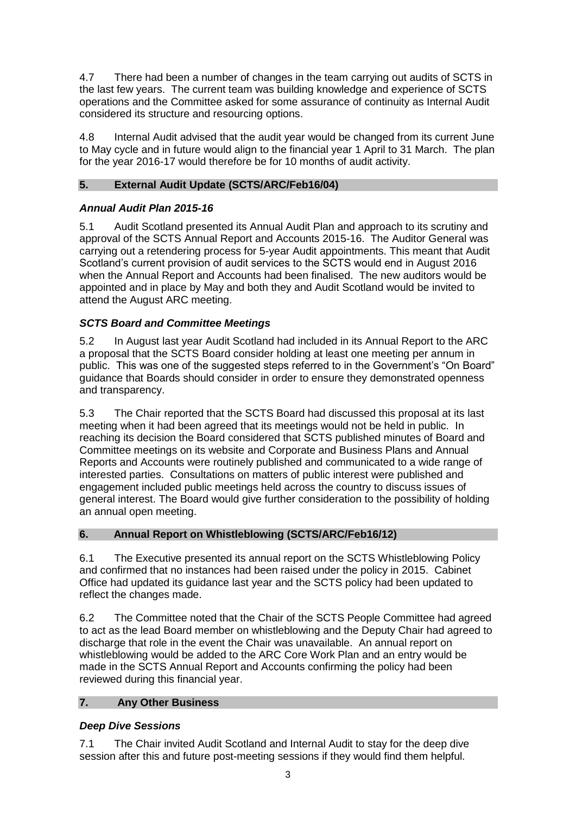4.7 There had been a number of changes in the team carrying out audits of SCTS in the last few years. The current team was building knowledge and experience of SCTS operations and the Committee asked for some assurance of continuity as Internal Audit considered its structure and resourcing options.

4.8 Internal Audit advised that the audit year would be changed from its current June to May cycle and in future would align to the financial year 1 April to 31 March. The plan for the year 2016-17 would therefore be for 10 months of audit activity.

# **5. External Audit Update (SCTS/ARC/Feb16/04)**

# *Annual Audit Plan 2015-16*

5.1 Audit Scotland presented its Annual Audit Plan and approach to its scrutiny and approval of the SCTS Annual Report and Accounts 2015-16. The Auditor General was carrying out a retendering process for 5-year Audit appointments. This meant that Audit Scotland's current provision of audit services to the SCTS would end in August 2016 when the Annual Report and Accounts had been finalised. The new auditors would be appointed and in place by May and both they and Audit Scotland would be invited to attend the August ARC meeting.

# *SCTS Board and Committee Meetings*

5.2 In August last year Audit Scotland had included in its Annual Report to the ARC a proposal that the SCTS Board consider holding at least one meeting per annum in public. This was one of the suggested steps referred to in the Government's "On Board" guidance that Boards should consider in order to ensure they demonstrated openness and transparency.

5.3 The Chair reported that the SCTS Board had discussed this proposal at its last meeting when it had been agreed that its meetings would not be held in public. In reaching its decision the Board considered that SCTS published minutes of Board and Committee meetings on its website and Corporate and Business Plans and Annual Reports and Accounts were routinely published and communicated to a wide range of interested parties. Consultations on matters of public interest were published and engagement included public meetings held across the country to discuss issues of general interest. The Board would give further consideration to the possibility of holding an annual open meeting.

# **6. Annual Report on Whistleblowing (SCTS/ARC/Feb16/12)**

6.1 The Executive presented its annual report on the SCTS Whistleblowing Policy and confirmed that no instances had been raised under the policy in 2015. Cabinet Office had updated its guidance last year and the SCTS policy had been updated to reflect the changes made.

6.2 The Committee noted that the Chair of the SCTS People Committee had agreed to act as the lead Board member on whistleblowing and the Deputy Chair had agreed to discharge that role in the event the Chair was unavailable. An annual report on whistleblowing would be added to the ARC Core Work Plan and an entry would be made in the SCTS Annual Report and Accounts confirming the policy had been reviewed during this financial year.

# **7. Any Other Business**

# *Deep Dive Sessions*

7.1 The Chair invited Audit Scotland and Internal Audit to stay for the deep dive session after this and future post-meeting sessions if they would find them helpful.